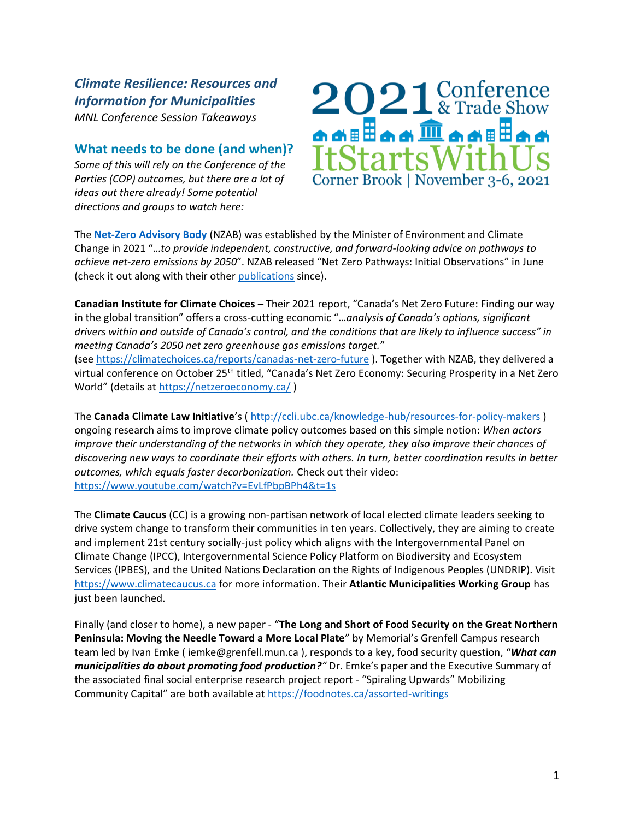*Climate Resilience: Resources and Information for Municipalities MNL Conference Session Takeaways*

## **What needs to be done (and when)?**

*Some of this will rely on the Conference of the Parties (COP) outcomes, but there are a lot of ideas out there already! Some potential directions and groups to watch here:*



The **[Net-Zero Advisory Body](https://nzab2050.ca/)** (NZAB) was established by the Minister of Environment and Climate Change in 2021 "…*to provide independent, constructive, and forward-looking advice on pathways to achieve net-zero emissions by 2050*". NZAB released "Net Zero Pathways: Initial Observations" in June (check it out along with their other [publications](https://nzab2050.ca/publications) since).

**Canadian Institute for Climate Choices** – Their 2021 report, "Canada's Net Zero Future: Finding our way in the global transition" offers a cross-cutting economic "…*analysis of Canada's options, significant drivers within and outside of Canada's control, and the conditions that are likely to influence success" in meeting Canada's 2050 net zero greenhouse gas emissions target.*" (see<https://climatechoices.ca/reports/canadas-net-zero-future> ). Together with NZAB, they delivered a virtual conference on October 25<sup>th</sup> titled, "Canada's Net Zero Economy: Securing Prosperity in a Net Zero World" (details at <https://netzeroeconomy.ca/>)

The **Canada Climate Law Initiative**'s ( <http://ccli.ubc.ca/knowledge-hub/resources-for-policy-makers> ) ongoing research aims to improve climate policy outcomes based on this simple notion: *When actors improve their understanding of the networks in which they operate, they also improve their chances of discovering new ways to coordinate their efforts with others. In turn, better coordination results in better outcomes, which equals faster decarbonization.* Check out their video: <https://www.youtube.com/watch?v=EvLfPbpBPh4&t=1s>

The **Climate Caucus** (CC) is a growing non-partisan network of local elected climate leaders seeking to drive system change to transform their communities in ten years. Collectively, they are aiming to create and implement 21st century socially-just policy which aligns with the Intergovernmental Panel on Climate Change (IPCC), Intergovernmental Science Policy Platform on Biodiversity and Ecosystem Services (IPBES), and the United Nations Declaration on the Rights of Indigenous Peoples (UNDRIP). Visit [https://www.climatecaucus.ca](https://www.climatecaucus.ca/) for more information. Their **Atlantic Municipalities Working Group** has just been launched.

Finally (and closer to home), a new paper - "**The Long and Short of Food Security on the Great Northern Peninsula: Moving the Needle Toward a More Local Plate**" by Memorial's Grenfell Campus research team led by Ivan Emke ( iemke@grenfell.mun.ca ), responds to a key, food security question, "*What can municipalities do about promoting food production?"* Dr. Emke's paper and the Executive Summary of the associated final social enterprise research project report - "Spiraling Upwards" Mobilizing Community Capital" are both available at <https://foodnotes.ca/assorted-writings>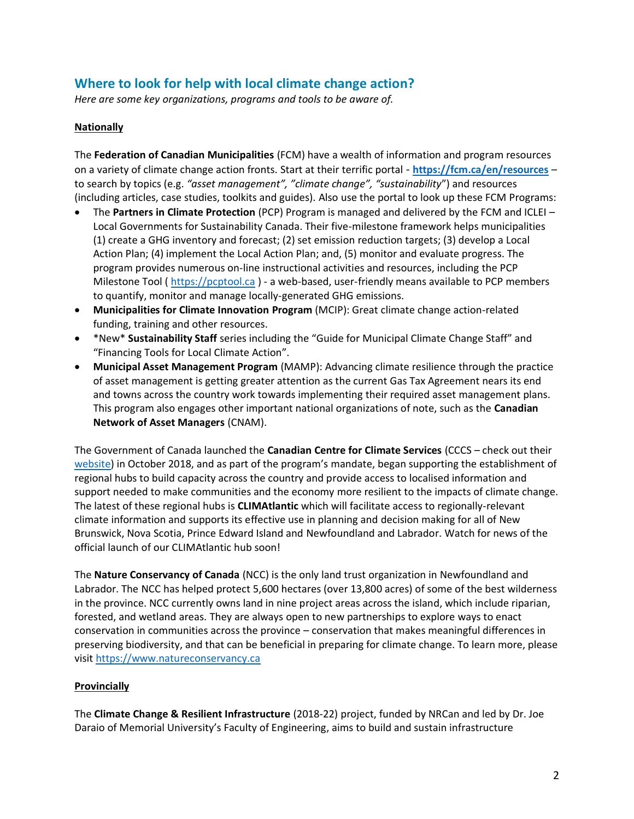# **Where to look for help with local climate change action?**

*Here are some key organizations, programs and tools to be aware of.*

#### **Nationally**

The **Federation of Canadian Municipalities** (FCM) have a wealth of information and program resources on a variety of climate change action fronts. Start at their terrific portal - **<https://fcm.ca/en/resources>** – to search by topics (e.g. *"asset management", "climate change", "sustainability*") and resources (including articles, case studies, toolkits and guides). Also use the portal to look up these FCM Programs:

- The **Partners in Climate Protection** (PCP) Program is managed and delivered by the FCM and ICLEI Local Governments for Sustainability Canada. Their five-milestone framework helps municipalities (1) create a GHG inventory and forecast; (2) set emission reduction targets; (3) develop a Local Action Plan; (4) implement the Local Action Plan; and, (5) monitor and evaluate progress. The program provides numerous on-line instructional activities and resources, including the PCP Milestone Tool ( [https://pcptool.ca](https://pcptool.ca/) ) - a web-based, user-friendly means available to PCP members to quantify, monitor and manage locally-generated GHG emissions.
- **Municipalities for Climate Innovation Program** (MCIP): Great climate change action-related funding, training and other resources.
- \*New\* **Sustainability Staff** series including the "Guide for Municipal Climate Change Staff" and "Financing Tools for Local Climate Action".
- **Municipal Asset Management Program** (MAMP): Advancing climate resilience through the practice of asset management is getting greater attention as the current Gas Tax Agreement nears its end and towns across the country work towards implementing their required asset management plans. This program also engages other important national organizations of note, such as the **Canadian Network of Asset Managers** (CNAM).

The Government of Canada launched the **Canadian Centre for Climate Services** (CCCS – check out their [website](https://www.canada.ca/en/environment-climate-change/services/climate-change/canadian-centre-climate-services.html)) in October 2018, and as part of the program's mandate, began supporting the establishment of regional hubs to build capacity across the country and provide access to localised information and support needed to make communities and the economy more resilient to the impacts of climate change. The latest of these regional hubs is **CLIMAtlantic** which will facilitate access to regionally-relevant climate information and supports its effective use in planning and decision making for all of New Brunswick, Nova Scotia, Prince Edward Island and Newfoundland and Labrador. Watch for news of the official launch of our CLIMAtlantic hub soon!

The **Nature Conservancy of Canada** (NCC) is the only land trust organization in Newfoundland and Labrador. The NCC has helped protect 5,600 hectares (over 13,800 acres) of some of the best wilderness in the province. NCC currently owns land in nine project areas across the island, which include riparian, forested, and wetland areas. They are always open to new partnerships to explore ways to enact conservation in communities across the province – conservation that makes meaningful differences in preserving biodiversity, and that can be beneficial in preparing for climate change. To learn more, please visit [https://www.natureconservancy.ca](https://www.natureconservancy.ca/)

### **Provincially**

The **Climate Change & Resilient Infrastructure** (2018-22) project, funded by NRCan and led by Dr. Joe Daraio of Memorial University's Faculty of Engineering, aims to build and sustain infrastructure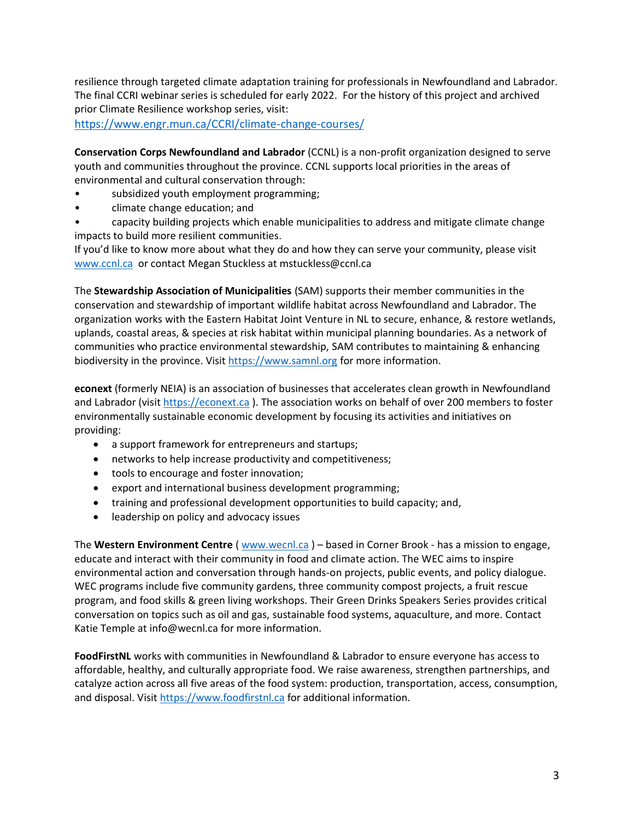resilience through targeted climate adaptation training for professionals in Newfoundland and Labrador. The final CCRI webinar series is scheduled for early 2022. For the history of this project and archived prior Climate Resilience workshop series, visit:

<https://www.engr.mun.ca/CCRI/climate-change-courses/>

**Conservation Corps Newfoundland and Labrador** (CCNL) is a non-profit organization designed to serve youth and communities throughout the province. CCNL supports local priorities in the areas of environmental and cultural conservation through:

- subsidized youth employment programming;
- climate change education; and
- capacity building projects which enable municipalities to address and mitigate climate change impacts to build more resilient communities.

If you'd like to know more about what they do and how they can serve your community, please visit [www.ccnl.ca](https://www.ccnl.ca/) or contact Megan Stuckless at mstuckless@ccnl.ca

The **Stewardship Association of Municipalities** (SAM) supports their member communities in the conservation and stewardship of important wildlife habitat across Newfoundland and Labrador. The organization works with the Eastern Habitat Joint Venture in NL to secure, enhance, & restore wetlands, uplands, coastal areas, & species at risk habitat within municipal planning boundaries. As a network of communities who practice environmental stewardship, SAM contributes to maintaining & enhancing biodiversity in the province. Visi[t https://www.samnl.org](https://www.samnl.org/) for more information.

**econext** (formerly NEIA) is an association of businesses that accelerates clean growth in Newfoundland and Labrador (visit [https://econext.ca](https://econext.ca/) ). The association works on behalf of over 200 members to foster environmentally sustainable economic development by focusing its activities and initiatives on providing:

- a support framework for entrepreneurs and startups;
- networks to help increase productivity and competitiveness;
- tools to encourage and foster innovation;
- export and international business development programming;
- training and professional development opportunities to build capacity; and,
- leadership on policy and advocacy issues

The **Western Environment Centre** ( [www.wecnl.ca](http://www.wecnl.ca/) ) – based in Corner Brook - has a mission to engage, educate and interact with their community in food and climate action. The WEC aims to inspire environmental action and conversation through hands-on projects, public events, and policy dialogue. WEC programs include five community gardens, three community compost projects, a fruit rescue program, and food skills & green living workshops. Their Green Drinks Speakers Series provides critical conversation on topics such as oil and gas, sustainable food systems, aquaculture, and more. Contact Katie Temple at info@wecnl.ca for more information.

**FoodFirstNL** works with communities in Newfoundland & Labrador to ensure everyone has access to affordable, healthy, and culturally appropriate food. We raise awareness, strengthen partnerships, and catalyze action across all five areas of the food system: production, transportation, access, consumption, and disposal. Visi[t https://www.foodfirstnl.ca](https://www.foodfirstnl.ca/) for additional information.